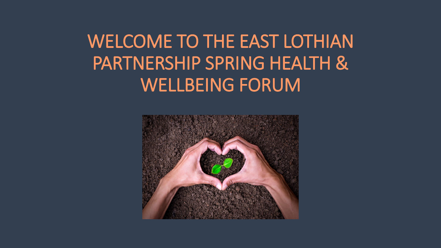WELCOME TO THE EAST LOTHIAN PARTNERSHIP SPRING HEALTH & WELLBEING FORUM

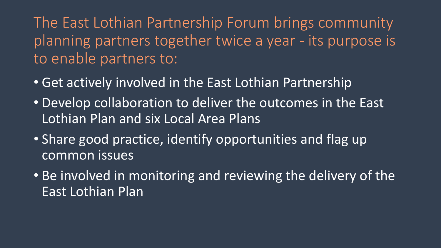The East Lothian Partnership Forum brings community planning partners together twice a year - its purpose is to enable partners to:

- Get actively involved in the East Lothian Partnership
- Develop collaboration to deliver the outcomes in the East Lothian Plan and six Local Area Plans
- Share good practice, identify opportunities and flag up common issues
- Be involved in monitoring and reviewing the delivery of the East Lothian Plan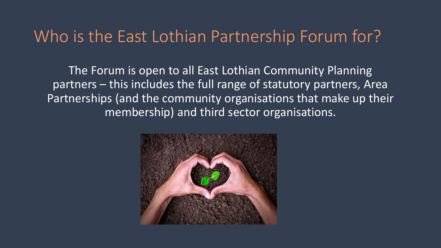#### Who is the East Lothian Partnership Forum for?

The Forum is open to all East Lothian Community Planning partners – this includes the full range of statutory partners, Area Partnerships (and the community organisations that make up their membership) and third sector organisations.

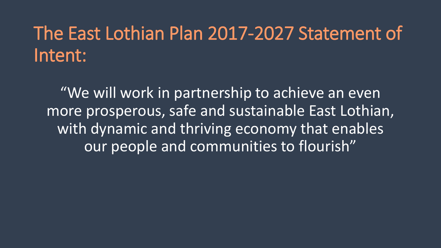# The East Lothian Plan 2017-2027 Statement of Intent:

"We will work in partnership to achieve an even more prosperous, safe and sustainable East Lothian, with dynamic and thriving economy that enables our people and communities to flourish"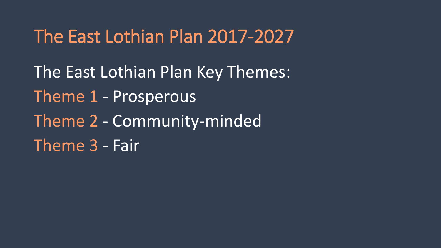The East Lothian Plan Key Themes: Theme 1 - Prosperous Theme 2 - Community-minded Theme 3 - Fair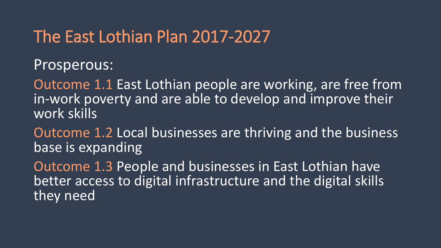Prosperous:

Outcome 1.1 East Lothian people are working, are free from in-work poverty and are able to develop and improve their work skills

Outcome 1.2 Local businesses are thriving and the business base is expanding

Outcome 1.3 People and businesses in East Lothian have better access to digital infrastructure and the digital skills they need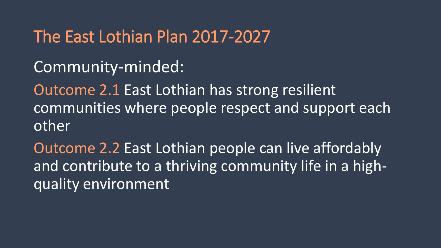#### Community-minded:

Outcome 2.1 East Lothian has strong resilient communities where people respect and support each other

Outcome 2.2 East Lothian people can live affordably and contribute to a thriving community life in a highquality environment